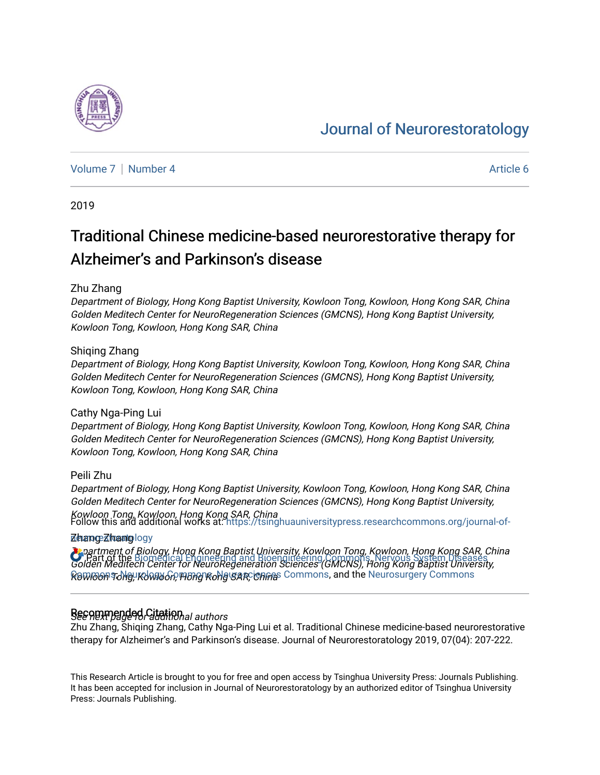# [Journal of Neurorestoratology](https://tsinghuauniversitypress.researchcommons.org/journal-of-neurorestoratology)

[Volume 7](https://tsinghuauniversitypress.researchcommons.org/journal-of-neurorestoratology/vol7) | [Number 4](https://tsinghuauniversitypress.researchcommons.org/journal-of-neurorestoratology/vol7/iss4) Article 6

2019

# Traditional Chinese medicine-based neurorestorative therapy for Alzheimer's and Parkinson's disease

### Zhu Zhang

Department of Biology, Hong Kong Baptist University, Kowloon Tong, Kowloon, Hong Kong SAR, China Golden Meditech Center for NeuroRegeneration Sciences (GMCNS), Hong Kong Baptist University, Kowloon Tong, Kowloon, Hong Kong SAR, China

#### Shiqing Zhang

Department of Biology, Hong Kong Baptist University, Kowloon Tong, Kowloon, Hong Kong SAR, China Golden Meditech Center for NeuroRegeneration Sciences (GMCNS), Hong Kong Baptist University, Kowloon Tong, Kowloon, Hong Kong SAR, China

#### Cathy Nga-Ping Lui

Department of Biology, Hong Kong Baptist University, Kowloon Tong, Kowloon, Hong Kong SAR, China Golden Meditech Center for NeuroRegeneration Sciences (GMCNS), Hong Kong Baptist University, Kowloon Tong, Kowloon, Hong Kong SAR, China

#### Peili Zhu

Department of Biology, Hong Kong Baptist University, Kowloon Tong, Kowloon, Hong Kong SAR, China Golden Meditech Center for NeuroRegeneration Sciences (GMCNS), Hong Kong Baptist University, Kowloon Tong, Kowloon, Hong Kong SAR, China<br>Follow this and additional works at: [https://tsinghuauniversitypress.researchcommons.org/journal-of-](https://tsinghuauniversitypress.researchcommons.org/journal-of-neurorestoratology?utm_source=tsinghuauniversitypress.researchcommons.org%2Fjournal-of-neurorestoratology%2Fvol7%2Fiss4%2F6&utm_medium=PDF&utm_campaign=PDFCoverPages)

#### złewange z hoannig logy

Department of Biology, Hong Kong Baptist University, Kowloon Tong, Kowloon, Hong Kong SAR, China **C** "Part of the [Biomedical Engineering and Bioengineering Commons,](http://network.bepress.com/hgg/discipline/229?utm_source=tsinghuauniversitypress.researchcommons.org%2Fjournal-of-neurorestoratology%2Fvol7%2Fiss4%2F6&utm_medium=PDF&utm_campaign=PDFCoverPages) Nervous System Diseases"<br>Golden Meditech Center for NeuroRegeneration Sciences (GMCNS), Hong Kong Baptist University, <u>ନ୍ତେ Woon Tong Kong Kong Rong Kong Sar, China</u>s [Commons](http://network.bepress.com/hgg/discipline/928?utm_source=tsinghuauniversitypress.researchcommons.org%2Fjournal-of-neurorestoratology%2Fvol7%2Fiss4%2F6&utm_medium=PDF&utm_campaign=PDFCoverPages), and the [Neurosurgery Commons](http://network.bepress.com/hgg/discipline/1428?utm_source=tsinghuauniversitypress.researchcommons.org%2Fjournal-of-neurorestoratology%2Fvol7%2Fiss4%2F6&utm_medium=PDF&utm_campaign=PDFCoverPages)

# Recommended Citational authors

Zhu Zhang, Shiqing Zhang, Cathy Nga-Ping Lui et al. Traditional Chinese medicine-based neurorestorative therapy for Alzheimer's and Parkinson's disease. Journal of Neurorestoratology 2019, 07(04): 207-222.

This Research Article is brought to you for free and open access by Tsinghua University Press: Journals Publishing. It has been accepted for inclusion in Journal of Neurorestoratology by an authorized editor of Tsinghua University Press: Journals Publishing.

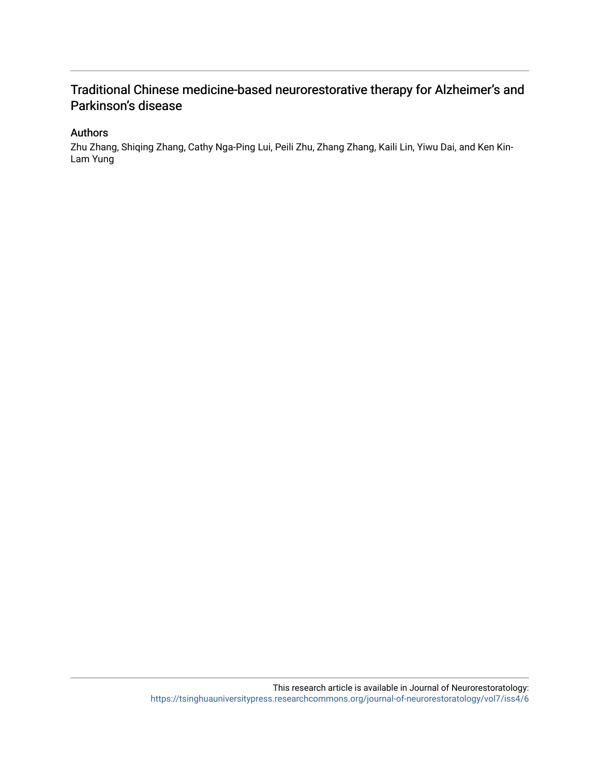# Traditional Chinese medicine-based neurorestorative therapy for Alzheimer's and Parkinson's disease

# Authors

Zhu Zhang, Shiqing Zhang, Cathy Nga-Ping Lui, Peili Zhu, Zhang Zhang, Kaili Lin, Yiwu Dai, and Ken Kin-Lam Yung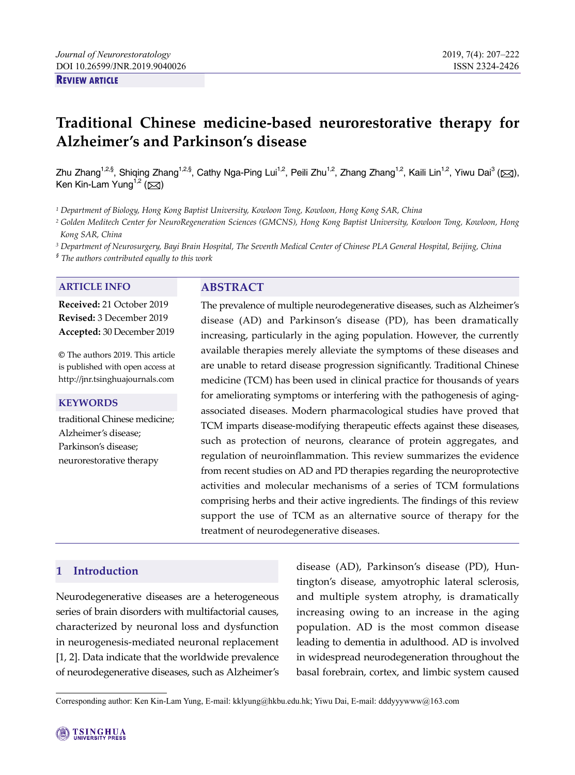#### **REVIEW ARTICLE**

# **Traditional Chinese medicine-based neurorestorative therapy for Alzheimer's and Parkinson's disease**

Zhu Zhang<sup>1,2,§</sup>, Shiqing Zhang<sup>1,2,§</sup>, Cathy Nga-Ping Lui<sup>1,2</sup>, Peili Zhu<sup>1,2</sup>, Zhang Zhang<sup>1,2</sup>, Kaili Lin<sup>1,2</sup>, Yiwu Dai<sup>3</sup> (⊠), Ken Kin-Lam Yung<sup>1,2</sup> ( $\boxtimes$ )

*1 Department of Biology, Hong Kong Baptist University, Kowloon Tong, Kowloon, Hong Kong SAR, China* 

*2 Golden Meditech Center for NeuroRegeneration Sciences (GMCNS), Hong Kong Baptist University, Kowloon Tong, Kowloon, Hong Kong SAR, China* 

*3 Department of Neurosurgery, Bayi Brain Hospital, The Seventh Medical Center of Chinese PLA General Hospital, Beijing, China* 

*§ The authors contributed equally to this work* 

#### **ARTICLE INFO ABSTRACT**

**Received:** 21 October 2019 **Revised:** 3 December 2019 **Accepted:** 30 December 2019

**©** The authors 2019. This article is published with open access at http://jnr.tsinghuajournals.com

#### **KEYWORDS**

traditional Chinese medicine; Alzheimer's disease; Parkinson's disease; neurorestorative therapy

The prevalence of multiple neurodegenerative diseases, such as Alzheimer's disease (AD) and Parkinson's disease (PD), has been dramatically increasing, particularly in the aging population. However, the currently available therapies merely alleviate the symptoms of these diseases and are unable to retard disease progression significantly. Traditional Chinese medicine (TCM) has been used in clinical practice for thousands of years for ameliorating symptoms or interfering with the pathogenesis of agingassociated diseases. Modern pharmacological studies have proved that TCM imparts disease-modifying therapeutic effects against these diseases, such as protection of neurons, clearance of protein aggregates, and regulation of neuroinflammation. This review summarizes the evidence from recent studies on AD and PD therapies regarding the neuroprotective activities and molecular mechanisms of a series of TCM formulations comprising herbs and their active ingredients. The findings of this review support the use of TCM as an alternative source of therapy for the treatment of neurodegenerative diseases.

# **1 Introduction**

Neurodegenerative diseases are a heterogeneous series of brain disorders with multifactorial causes, characterized by neuronal loss and dysfunction in neurogenesis-mediated neuronal replacement [1, 2]. Data indicate that the worldwide prevalence of neurodegenerative diseases, such as Alzheimer's disease (AD), Parkinson's disease (PD), Huntington's disease, amyotrophic lateral sclerosis, and multiple system atrophy, is dramatically increasing owing to an increase in the aging population. AD is the most common disease leading to dementia in adulthood. AD is involved in widespread neurodegeneration throughout the basal forebrain, cortex, and limbic system caused

Corresponding author: Ken Kin-Lam Yung, E-mail: kklyung@hkbu.edu.hk; Yiwu Dai, E-mail: dddyyywww@163.com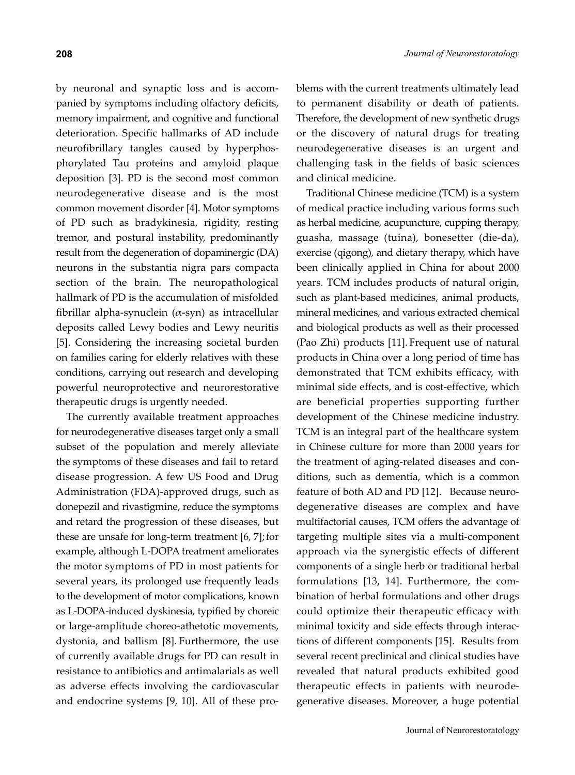by neuronal and synaptic loss and is accompanied by symptoms including olfactory deficits, memory impairment, and cognitive and functional deterioration. Specific hallmarks of AD include neurofibrillary tangles caused by hyperphosphorylated Tau proteins and amyloid plaque deposition [3]. PD is the second most common neurodegenerative disease and is the most common movement disorder [4]. Motor symptoms of PD such as bradykinesia, rigidity, resting tremor, and postural instability, predominantly result from the degeneration of dopaminergic (DA) neurons in the substantia nigra pars compacta section of the brain. The neuropathological hallmark of PD is the accumulation of misfolded fibrillar alpha-synuclein  $(\alpha$ -syn) as intracellular deposits called Lewy bodies and Lewy neuritis [5]. Considering the increasing societal burden on families caring for elderly relatives with these conditions, carrying out research and developing powerful neuroprotective and neurorestorative therapeutic drugs is urgently needed.

The currently available treatment approaches for neurodegenerative diseases target only a small subset of the population and merely alleviate the symptoms of these diseases and fail to retard disease progression. A few US Food and Drug Administration (FDA)-approved drugs, such as donepezil and rivastigmine, reduce the symptoms and retard the progression of these diseases, but these are unsafe for long-term treatment  $[6, 7]$ ; for example, although L-DOPA treatment ameliorates the motor symptoms of PD in most patients for several years, its prolonged use frequently leads to the development of motor complications, known as L-DOPA-induced dyskinesia, typified by choreic or large-amplitude choreo-athetotic movements, dystonia, and ballism [8]. Furthermore, the use of currently available drugs for PD can result in resistance to antibiotics and antimalarials as well as adverse effects involving the cardiovascular and endocrine systems [9, 10]. All of these problems with the current treatments ultimately lead to permanent disability or death of patients. Therefore, the development of new synthetic drugs or the discovery of natural drugs for treating neurodegenerative diseases is an urgent and challenging task in the fields of basic sciences and clinical medicine.

Traditional Chinese medicine (TCM) is a system of medical practice including various forms such as herbal medicine, acupuncture, cupping therapy, guasha, massage (tuina), bonesetter (die-da), exercise (qigong), and dietary therapy, which have been clinically applied in China for about 2000 years. TCM includes products of natural origin, such as plant-based medicines, animal products, mineral medicines, and various extracted chemical and biological products as well as their processed (Pao Zhi) products [11]. Frequent use of natural products in China over a long period of time has demonstrated that TCM exhibits efficacy, with minimal side effects, and is cost-effective, which are beneficial properties supporting further development of the Chinese medicine industry. TCM is an integral part of the healthcare system in Chinese culture for more than 2000 years for the treatment of aging-related diseases and conditions, such as dementia, which is a common feature of both AD and PD [12]. Because neurodegenerative diseases are complex and have multifactorial causes, TCM offers the advantage of targeting multiple sites via a multi-component approach via the synergistic effects of different components of a single herb or traditional herbal formulations [13, 14]. Furthermore, the combination of herbal formulations and other drugs could optimize their therapeutic efficacy with minimal toxicity and side effects through interactions of different components [15]. Results from several recent preclinical and clinical studies have revealed that natural products exhibited good therapeutic effects in patients with neurodegenerative diseases. Moreover, a huge potential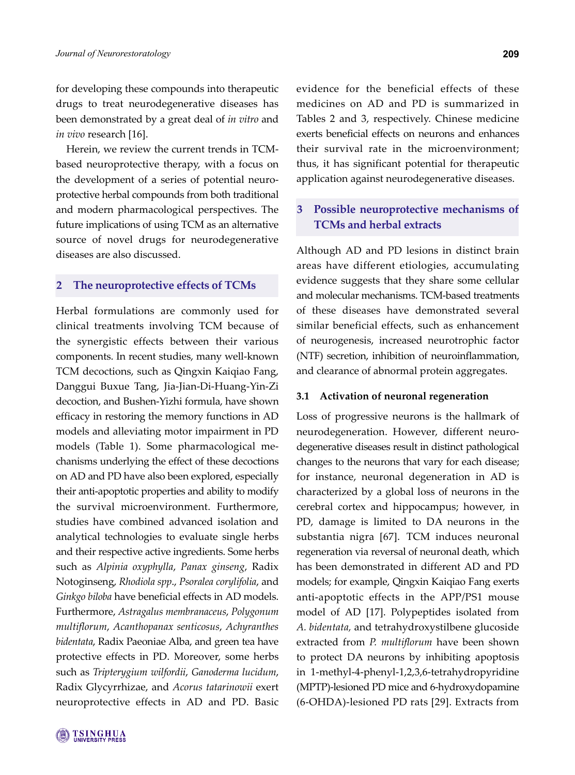for developing these compounds into therapeutic drugs to treat neurodegenerative diseases has been demonstrated by a great deal of *in vitro* and *in vivo* research [16].

Herein, we review the current trends in TCMbased neuroprotective therapy, with a focus on the development of a series of potential neuroprotective herbal compounds from both traditional and modern pharmacological perspectives. The future implications of using TCM as an alternative source of novel drugs for neurodegenerative diseases are also discussed.

#### **2 The neuroprotective effects of TCMs**

Herbal formulations are commonly used for clinical treatments involving TCM because of the synergistic effects between their various components. In recent studies, many well-known TCM decoctions, such as Qingxin Kaiqiao Fang, Danggui Buxue Tang, Jia-Jian-Di-Huang-Yin-Zi decoction, and Bushen-Yizhi formula, have shown efficacy in restoring the memory functions in AD models and alleviating motor impairment in PD models (Table 1). Some pharmacological mechanisms underlying the effect of these decoctions on AD and PD have also been explored, especially their anti-apoptotic properties and ability to modify the survival microenvironment. Furthermore, studies have combined advanced isolation and analytical technologies to evaluate single herbs and their respective active ingredients. Some herbs such as *Alpinia oxyphylla*, *Panax ginseng*, Radix Notoginseng, *Rhodiola spp*., *Psoralea corylifolia*, and *Ginkgo biloba* have beneficial effects in AD models. Furthermore, *Astragalus membranaceus*, *Polygonum multiflorum*, *Acanthopanax senticosus*, *Achyranthes bidentata*, Radix Paeoniae Alba, and green tea have protective effects in PD. Moreover, some herbs such as *Tripterygium wilfordii*, *Ganoderma lucidum*, Radix Glycyrrhizae, and *Acorus tatarinowii* exert neuroprotective effects in AD and PD. Basic

evidence for the beneficial effects of these medicines on AD and PD is summarized in Tables 2 and 3, respectively. Chinese medicine exerts beneficial effects on neurons and enhances their survival rate in the microenvironment; thus, it has significant potential for therapeutic application against neurodegenerative diseases.

# **3 Possible neuroprotective mechanisms of TCMs and herbal extracts**

Although AD and PD lesions in distinct brain areas have different etiologies, accumulating evidence suggests that they share some cellular and molecular mechanisms. TCM-based treatments of these diseases have demonstrated several similar beneficial effects, such as enhancement of neurogenesis, increased neurotrophic factor (NTF) secretion, inhibition of neuroinflammation, and clearance of abnormal protein aggregates.

#### **3.1 Activation of neuronal regeneration**

Loss of progressive neurons is the hallmark of neurodegeneration. However, different neurodegenerative diseases result in distinct pathological changes to the neurons that vary for each disease; for instance, neuronal degeneration in AD is characterized by a global loss of neurons in the cerebral cortex and hippocampus; however, in PD, damage is limited to DA neurons in the substantia nigra [67]. TCM induces neuronal regeneration via reversal of neuronal death, which has been demonstrated in different AD and PD models; for example, Qingxin Kaiqiao Fang exerts anti-apoptotic effects in the APP/PS1 mouse model of AD [17]. Polypeptides isolated from *A. bidentata,* and tetrahydroxystilbene glucoside extracted from *P. multiflorum* have been shown to protect DA neurons by inhibiting apoptosis in 1-methyl-4-phenyl-1,2,3,6-tetrahydropyridine (MPTP)-lesioned PD mice and 6-hydroxydopamine (6-OHDA)-lesioned PD rats [29]. Extracts from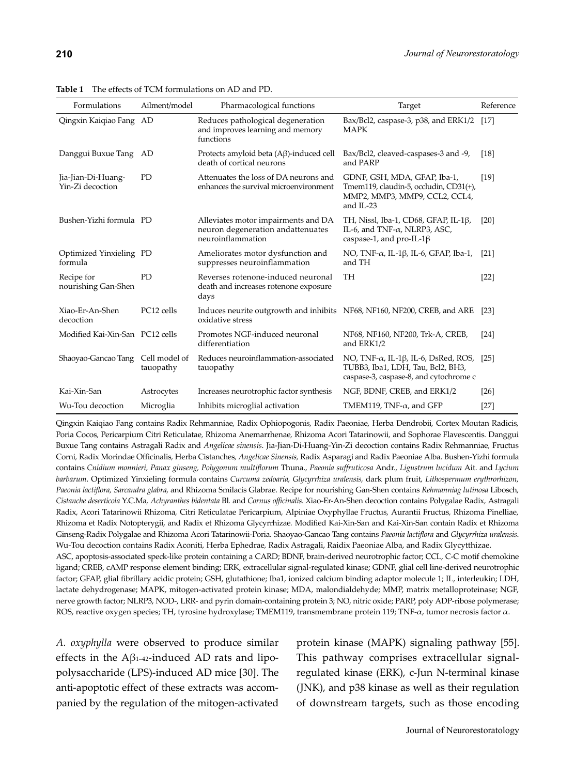| Formulations                           | Ailment/model              | Pharmacological functions                                                                      | Target                                                                                                                              | Reference |
|----------------------------------------|----------------------------|------------------------------------------------------------------------------------------------|-------------------------------------------------------------------------------------------------------------------------------------|-----------|
| Qingxin Kaiqiao Fang AD                |                            | Reduces pathological degeneration<br>and improves learning and memory<br>functions             | Bax/Bcl2, caspase-3, p38, and ERK1/2<br><b>MAPK</b>                                                                                 | $[17]$    |
| Danggui Buxue Tang AD                  |                            | Protects amyloid beta (Aβ)-induced cell<br>death of cortical neurons                           | Bax/Bcl2, cleaved-caspases-3 and -9,<br>and PARP                                                                                    | [18]      |
| Jia-Jian-Di-Huang-<br>Yin-Zi decoction | PD                         | Attenuates the loss of DA neurons and<br>enhances the survival microenvironment                | GDNF, GSH, MDA, GFAP, Iba-1,<br>Tmem119, claudin-5, occludin, CD31(+),<br>MMP2, MMP3, MMP9, CCL2, CCL4,<br>and IL-23                | $[19]$    |
| Bushen-Yizhi formula PD                |                            | Alleviates motor impairments and DA<br>neuron degeneration and attenuates<br>neuroinflammation | TH, Nissl, Iba-1, CD68, GFAP, IL-1ß,<br>IL-6, and TNF- $\alpha$ , NLRP3, ASC,<br>caspase-1, and pro-IL-1 $\beta$                    | [20]      |
| Optimized Yinxieling PD<br>formula     |                            | Ameliorates motor dysfunction and<br>suppresses neuroinflammation                              | NO, TNF- $\alpha$ , IL-1 $\beta$ , IL-6, GFAP, Iba-1,<br>and TH                                                                     | [21]      |
| Recipe for<br>nourishing Gan-Shen      | <b>PD</b>                  | Reverses rotenone-induced neuronal<br>death and increases rotenone exposure<br>days            | TH                                                                                                                                  | $[22]$    |
| Xiao-Er-An-Shen<br>decoction           | PC12 cells                 | Induces neurite outgrowth and inhibits NF68, NF160, NF200, CREB, and ARE<br>oxidative stress   |                                                                                                                                     | [23]      |
| Modified Kai-Xin-San PC12 cells        |                            | Promotes NGF-induced neuronal<br>differentiation                                               | NF68, NF160, NF200, Trk-A, CREB,<br>and ERK1/2                                                                                      | [24]      |
| Shaoyao-Gancao Tang                    | Cell model of<br>tauopathy | Reduces neuroinflammation-associated<br>tauopathy                                              | NO, TNF- $\alpha$ , IL-1 $\beta$ , IL-6, DsRed, ROS,<br>TUBB3, Iba1, LDH, Tau, Bcl2, BH3,<br>caspase-3, caspase-8, and cytochrome c | [25]      |
| Kai-Xin-San                            | Astrocytes                 | Increases neurotrophic factor synthesis                                                        | NGF, BDNF, CREB, and ERK1/2                                                                                                         | [26]      |
| Wu-Tou decoction                       | Microglia                  | Inhibits microglial activation                                                                 | TMEM119, TNF- $\alpha$ , and GFP                                                                                                    | $[27]$    |

**Table 1** The effects of TCM formulations on AD and PD.

Qingxin Kaiqiao Fang contains Radix Rehmanniae*,* Radix Ophiopogonis*,* Radix Paeoniae*,* Herba Dendrobii*,* Cortex Moutan Radicis*,*  Poria Cocos*,* Pericarpium Citri Reticulatae*,* Rhizoma Anemarrhenae*,* Rhizoma Acori Tatarinowii*,* and Sophorae Flavescentis*.* Danggui Buxue Tang contains Astragali Radix and *Angelicae sinensis*. Jia-Jian-Di-Huang-Yin-Zi decoction contains Radix Rehmanniae*,* Fructus Corni*,* Radix Morindae Officinalis*,* Herba Cistanches*, Angelicae Sinensis,* Radix Asparagi and Radix Paeoniae Alba. Bushen-Yizhi formula contains *Cnidium monnieri, Panax ginseng, Polygonum multiflorum* Thuna.*, Paeonia suffruticosa* Andr.*, Ligustrum lucidum* Ait. and *Lycium barbarum*. Optimized Yinxieling formula contains *Curcuma zedoaria, Glycyrrhiza uralensis,* dark plum fruit*, Lithospermum erythrorhizon, Paeonia lactiflora, Sarcandra glabra,* and Rhizoma Smilacis Glabrae. Recipe for nourishing Gan-Shen contains *Rehmanniag lutinosa* Libosch*, Cistanche deserticola* Y.C.Ma*, Achyranthes bidentata* Bl*.* and *Cornus officinalis*. Xiao-Er-An-Shen decoction contains Polygalae Radix*,* Astragali Radix*,* Acori Tatarinowii Rhizoma*,* Citri Reticulatae Pericarpium*,* Alpiniae Oxyphyllae Fructus*,* Aurantii Fructus*,* Rhizoma Pinelliae*,*  Rhizoma et Radix Notopterygii, and Radix et Rhizoma Glycyrrhizae*.* Modified Kai-Xin-San and Kai-Xin-San contain Radix et Rhizoma Ginseng*-*Radix Polygalae and Rhizoma Acori Tatarinowii*-*Poria. Shaoyao-Gancao Tang contains *Paeonia lactiflora* and *Glycyrrhiza uralensis*. Wu-Tou decoction contains Radix Aconiti*,* Herba Ephedrae*,* Radix Astragali, Raidix Paeoniae Alba, and Radix Glycytthizae. ASC, apoptosis-associated speck-like protein containing a CARD; BDNF, brain-derived neurotrophic factor; CCL, C-C motif chemokine ligand; CREB, cAMP response element binding; ERK, extracellular signal-regulated kinase; GDNF, glial cell line-derived neurotrophic factor; GFAP, glial fibrillary acidic protein; GSH, glutathione; Iba1, ionized calcium binding adaptor molecule 1; IL, interleukin; LDH, lactate dehydrogenase; MAPK, mitogen-activated protein kinase; MDA, malondialdehyde; MMP, matrix metalloproteinase; NGF, nerve growth factor; NLRP3, NOD-, LRR- and pyrin domain-containing protein 3; NO, nitric oxide; PARP, poly ADP-ribose polymerase;

ROS, reactive oxygen species; TH, tyrosine hydroxylase; TMEM119, transmembrane protein 119; TNF-α, tumor necrosis factor α.

*A. oxyphylla* were observed to produce similar effects in the  $A\beta_{1-42}$ -induced AD rats and lipopolysaccharide (LPS)-induced AD mice [30]. The anti-apoptotic effect of these extracts was accompanied by the regulation of the mitogen-activated protein kinase (MAPK) signaling pathway [55]. This pathway comprises extracellular signalregulated kinase (ERK), c-Jun N-terminal kinase (JNK), and p38 kinase as well as their regulation of downstream targets, such as those encoding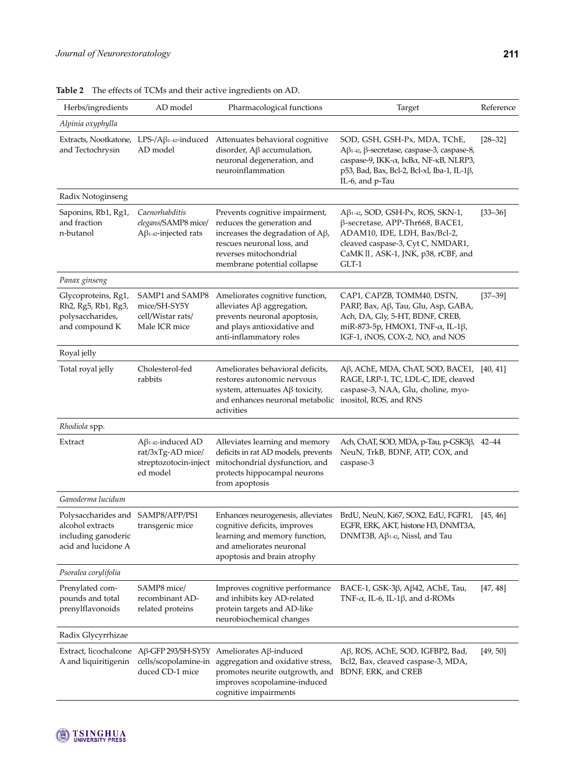| Herbs/ingredients                                                                                   | AD model                                                                           | Pharmacological functions                                                                                                                                                                        | Target                                                                                                                                                                                          | Reference   |
|-----------------------------------------------------------------------------------------------------|------------------------------------------------------------------------------------|--------------------------------------------------------------------------------------------------------------------------------------------------------------------------------------------------|-------------------------------------------------------------------------------------------------------------------------------------------------------------------------------------------------|-------------|
| Alpinia oxyphylla                                                                                   |                                                                                    |                                                                                                                                                                                                  |                                                                                                                                                                                                 |             |
| and Tectochrysin                                                                                    | Extracts, Nootkatone, $LPS$ -/A $\beta$ <sub>1-42</sub> -induced<br>AD model       | Attenuates behavioral cognitive<br>disorder, $A\beta$ accumulation,<br>neuronal degeneration, and<br>neuroinflammation                                                                           | SOD, GSH, GSH-Px, MDA, TChE,<br>Aβ1-42, β-secretase, caspase-3, caspase-8,<br>caspase-9, ΙΚΚ-α, ΙκΒα, ΝΕ-κΒ, NLRP3,<br>p53, Bad, Bax, Bcl-2, Bcl-xl, Iba-1, IL-1β,<br>IL-6, and p-Tau           | $[28 - 32]$ |
| Radix Notoginseng                                                                                   |                                                                                    |                                                                                                                                                                                                  |                                                                                                                                                                                                 |             |
| Saponins, Rb1, Rg1,<br>and fraction<br>n-butanol                                                    | Caenorhabditis<br>elegans/SAMP8 mice/<br>$A\beta$ 1-42-injected rats               | Prevents cognitive impairment,<br>reduces the generation and<br>increases the degradation of $A\beta$ ,<br>rescues neuronal loss, and<br>reverses mitochondrial<br>membrane potential collapse   | $A\beta$ 1-42, SOD, GSH-Px, ROS, SKN-1,<br>β-secretase, APP-Thr668, BACE1,<br>ADAM10, IDE, LDH, Bax/Bcl-2,<br>cleaved caspase-3, Cyt C, NMDAR1,<br>CaMK II, ASK-1, JNK, p38, rCBF, and<br>GLT-1 | $[33 - 36]$ |
| Panax ginseng                                                                                       |                                                                                    |                                                                                                                                                                                                  |                                                                                                                                                                                                 |             |
| Glycoproteins, Rg1,<br>Rh2, Rg5, Rb1, Rg3,<br>polysaccharides,<br>and compound K                    | SAMP1 and SAMP8<br>mice/SH-SY5Y<br>cell/Wistar rats/<br>Male ICR mice              | Ameliorates cognitive function,<br>alleviates $A\beta$ aggregation,<br>prevents neuronal apoptosis,<br>and plays antioxidative and<br>anti-inflammatory roles                                    | CAP1, CAPZB, TOMM40, DSTN,<br>PARP, Bax, Aß, Tau, Glu, Asp, GABA,<br>Ach, DA, Gly, 5-HT, BDNF, CREB,<br>miR-873-5p, HMOX1, TNF-α, IL-1β,<br>IGF-1, iNOS, COX-2, NO, and NOS                     | $[37 - 39]$ |
| Royal jelly                                                                                         |                                                                                    |                                                                                                                                                                                                  |                                                                                                                                                                                                 |             |
| Total royal jelly                                                                                   | Cholesterol-fed<br>rabbits                                                         | Ameliorates behavioral deficits,<br>restores autonomic nervous<br>system, attenuates $A\beta$ toxicity,<br>and enhances neuronal metabolic<br>activities                                         | Aβ, AChE, MDA, ChAT, SOD, BACE1,<br>RAGE, LRP-1, TC, LDL-C, IDE, cleaved<br>caspase-3, NAA, Glu, choline, myo-<br>inositol, ROS, and RNS                                                        | [40, 41]    |
| Rhodiola spp.                                                                                       |                                                                                    |                                                                                                                                                                                                  |                                                                                                                                                                                                 |             |
| Extract                                                                                             | $A\beta$ 1-42-induced AD<br>rat/3xTg-AD mice/<br>streptozotocin-inject<br>ed model | Alleviates learning and memory<br>deficits in rat AD models, prevents<br>mitochondrial dysfunction, and<br>protects hippocampal neurons<br>from apoptosis                                        | Ach, ChAT, SOD, MDA, p-Tau, p-GSK3β, 42–44<br>NeuN, TrkB, BDNF, ATP, COX, and<br>caspase-3                                                                                                      |             |
| Ganoderma lucidum                                                                                   |                                                                                    |                                                                                                                                                                                                  |                                                                                                                                                                                                 |             |
| Polysaccharides and SAMP8/APP/PS1<br>alcohol extracts<br>including ganoderic<br>acid and lucidone A | transgenic mice                                                                    | cognitive deficits, improves<br>learning and memory function,<br>and ameliorates neuronal<br>apoptosis and brain atrophy                                                                         | Enhances neurogenesis, alleviates BrdU, NeuN, Ki67, SOX2, EdU, FGFR1,<br>EGFR, ERK, AKT, histone H3, DNMT3A,<br>DNMT3B, $A\beta$ <sub>1-42</sub> , Nissl, and Tau                               | [45, 46]    |
| Psoralea corylifolia                                                                                |                                                                                    |                                                                                                                                                                                                  |                                                                                                                                                                                                 |             |
| Prenylated com-<br>pounds and total<br>prenylflavonoids                                             | SAMP8 mice/<br>recombinant AD-<br>related proteins                                 | Improves cognitive performance<br>and inhibits key AD-related<br>protein targets and AD-like<br>neurobiochemical changes                                                                         | BACE-1, GSK-3β, Aβ42, AChE, Tau,<br>TNF- $\alpha$ , IL-6, IL-1 $\beta$ , and d-ROMs                                                                                                             | [47, 48]    |
| Radix Glycyrrhizae                                                                                  |                                                                                    |                                                                                                                                                                                                  |                                                                                                                                                                                                 |             |
| A and liquiritigenin                                                                                | cells/scopolamine-in<br>duced CD-1 mice                                            | Extract, licochalcone Aβ-GFP 293/SH-SY5Y Ameliorates Aβ-induced<br>aggregation and oxidative stress,<br>promotes neurite outgrowth, and<br>improves scopolamine-induced<br>cognitive impairments | Aβ, ROS, AChE, SOD, IGFBP2, Bad,<br>Bcl2, Bax, cleaved caspase-3, MDA,<br>BDNF, ERK, and CREB                                                                                                   | [49, 50]    |

**Table 2** The effects of TCMs and their active ingredients on AD.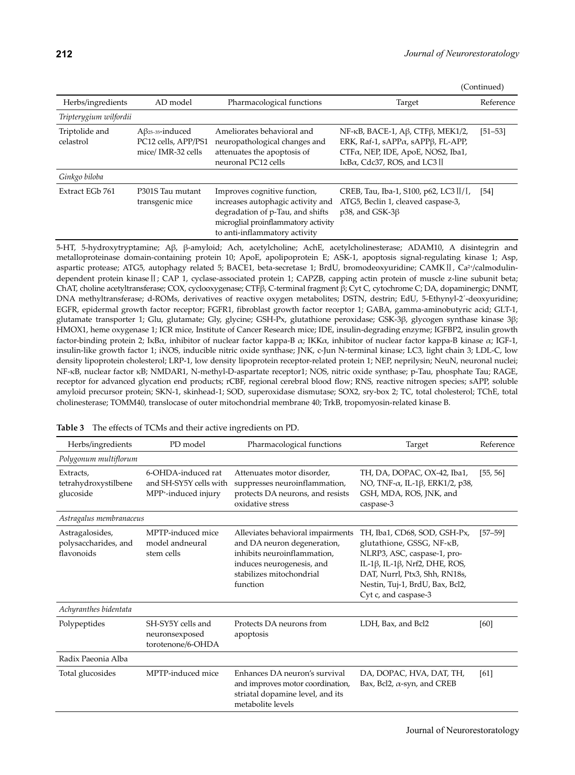(Continued)

| Herbs/ingredients           | AD model                                                                        | Pharmacological functions                                                                                                                                                     | Target                                                                                                                                                      | Reference   |
|-----------------------------|---------------------------------------------------------------------------------|-------------------------------------------------------------------------------------------------------------------------------------------------------------------------------|-------------------------------------------------------------------------------------------------------------------------------------------------------------|-------------|
| Tripterygium wilfordii      |                                                                                 |                                                                                                                                                                               |                                                                                                                                                             |             |
| Triptolide and<br>celastrol | $A\beta$ <sub>25-35</sub> -induced<br>PC12 cells, APP/PS1<br>mice/ IMR-32 cells | Ameliorates behavioral and<br>neuropathological changes and<br>attenuates the apoptosis of<br>neuronal PC12 cells                                                             | NF-κB, BACE-1, Aβ, CTFβ, MEK1/2,<br>ERK, Raf-1, sAPP $\alpha$ , sAPP $\beta$ , FL-APP,<br>CTFα, NEP, IDE, ApoE, NOS2, Iba1,<br>IκBα, Cdc37, ROS, and LC3 II | $[51 - 53]$ |
| Ginkgo biloba               |                                                                                 |                                                                                                                                                                               |                                                                                                                                                             |             |
| Extract EGb 761             | P301S Tau mutant<br>transgenic mice                                             | Improves cognitive function,<br>increases autophagic activity and<br>degradation of p-Tau, and shifts<br>microglial proinflammatory activity<br>to anti-inflammatory activity | CREB, Tau, Iba-1, S100, p62, LC3 $\left[\frac{1}{1}, \frac{1}{1}\right]$<br>ATG5, Beclin 1, cleaved caspase-3,<br>p38, and GSK-3 $\beta$                    | [54]        |

5-HT, 5-hydroxytryptamine; Aβ, β-amyloid; Ach, acetylcholine; AchE, acetylcholinesterase; ADAM10, A disintegrin and metalloproteinase domain-containing protein 10; ApoE, apolipoprotein E; ASK-1, apoptosis signal-regulating kinase 1; Asp, aspartic protease; ATG5, autophagy related 5; BACE1, beta-secretase 1; BrdU, bromodeoxyuridine; CAMKⅡ, Ca<sup>2+</sup>/calmodulindependent protein kinase II; CAP 1, cyclase-associated protein 1; CAPZB, capping actin protein of muscle z-line subunit beta; ChAT, choline acetyltransferase; COX, cyclooxygenase; CTFβ, C-terminal fragment β; Cyt C, cytochrome C; DA, dopaminergic; DNMT, DNA methyltransferase; d-ROMs, derivatives of reactive oxygen metabolites; DSTN, destrin; EdU, 5-Ethynyl-2´-deoxyuridine; EGFR, epidermal growth factor receptor; FGFR1, fibroblast growth factor receptor 1; GABA, gamma-aminobutyric acid; GLT-1, glutamate transporter 1; Glu, glutamate; Gly, glycine; GSH-Px, glutathione peroxidase; GSK-3β, glycogen synthase kinase 3β; HMOX1, heme oxygenase 1; ICR mice, Institute of Cancer Research mice; IDE, insulin-degrading enzyme; IGFBP2, insulin growth factor-binding protein 2; IκBα, inhibitor of nuclear factor kappa-B α; IKKα, inhibitor of nuclear factor kappa-B kinase α; IGF-1, insulin-like growth factor 1; iNOS, inducible nitric oxide synthase; JNK, c-Jun N-terminal kinase; LC3, light chain 3; LDL-C, low density lipoprotein cholesterol; LRP-1, low density lipoprotein receptor-related protein 1; NEP, neprilysin; NeuN, neuronal nuclei; NF-κB, nuclear factor κB; NMDAR1, N-methyl-D-aspartate receptor1; NOS, nitric oxide synthase; p-Tau, phosphate Tau; RAGE, receptor for advanced glycation end products; rCBF, regional cerebral blood flow; RNS, reactive nitrogen species; sAPP, soluble amyloid precursor protein; SKN-1, skinhead-1; SOD, superoxidase dismutase; SOX2, sry-box 2; TC, total cholesterol; TChE, total cholinesterase; TOMM40, translocase of outer mitochondrial membrane 40; TrkB, tropomyosin-related kinase B.

| Herbs/ingredients                                     | PD model                                                            | Pharmacological functions                                                                                                                                            | Target                                                                                                                                                                                                                | Reference   |  |
|-------------------------------------------------------|---------------------------------------------------------------------|----------------------------------------------------------------------------------------------------------------------------------------------------------------------|-----------------------------------------------------------------------------------------------------------------------------------------------------------------------------------------------------------------------|-------------|--|
| Polygonum multiflorum                                 |                                                                     |                                                                                                                                                                      |                                                                                                                                                                                                                       |             |  |
| Extracts,<br>tetrahydroxystilbene<br>glucoside        | 6-OHDA-induced rat<br>and SH-SY5Y cells with<br>MPP+-induced injury | Attenuates motor disorder.<br>suppresses neuroinflammation,<br>protects DA neurons, and resists<br>oxidative stress                                                  | TH, DA, DOPAC, OX-42, Iba1,<br>NO, TNF- $\alpha$ , IL-1 $\beta$ , ERK1/2, p38,<br>GSH, MDA, ROS, JNK, and<br>caspase-3                                                                                                | [55, 56]    |  |
| Astragalus membranaceus                               |                                                                     |                                                                                                                                                                      |                                                                                                                                                                                                                       |             |  |
| Astragalosides,<br>polysaccharides, and<br>flavonoids | MPTP-induced mice<br>model and neural<br>stem cells                 | Alleviates behavioral impairments<br>and DA neuron degeneration,<br>inhibits neuroinflammation,<br>induces neurogenesis, and<br>stabilizes mitochondrial<br>function | TH, Iba1, CD68, SOD, GSH-Px,<br>glutathione, GSSG, NF-κB,<br>NLRP3, ASC, caspase-1, pro-<br>IL-1β, IL-1β, Nrf2, DHE, ROS,<br>DAT, Nurrl, Ptx3, Shh, RN18s,<br>Nestin, Tuj-1, BrdU, Bax, Bcl2,<br>Cyt c, and caspase-3 | $[57 - 59]$ |  |
| Achyranthes bidentata                                 |                                                                     |                                                                                                                                                                      |                                                                                                                                                                                                                       |             |  |
| Polypeptides                                          | SH-SY5Y cells and<br>neuronsexposed<br>torotenone/6-OHDA            | Protects DA neurons from<br>apoptosis                                                                                                                                | LDH, Bax, and Bcl2                                                                                                                                                                                                    | [60]        |  |
| Radix Paeonia Alba                                    |                                                                     |                                                                                                                                                                      |                                                                                                                                                                                                                       |             |  |
| Total glucosides                                      | MPTP-induced mice                                                   | Enhances DA neuron's survival<br>and improves motor coordination,<br>striatal dopamine level, and its<br>metabolite levels                                           | DA, DOPAC, HVA, DAT, TH,<br>Bax, Bcl2, $\alpha$ -syn, and CREB                                                                                                                                                        | [61]        |  |

**Table 3** The effects of TCMs and their active ingredients on PD.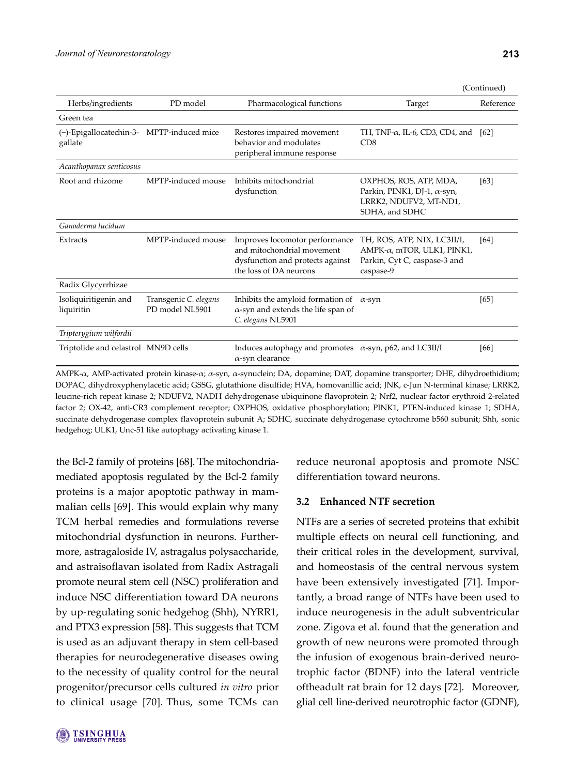| (Continued) |
|-------------|
|-------------|

| Herbs/ingredients                   | PD model                                 | Pharmacological functions                                                                                                  | Target                                                                                                         | Reference |
|-------------------------------------|------------------------------------------|----------------------------------------------------------------------------------------------------------------------------|----------------------------------------------------------------------------------------------------------------|-----------|
| Green tea                           |                                          |                                                                                                                            |                                                                                                                |           |
| (-)-Epigallocatechin-3-<br>gallate  | MPTP-induced mice                        | Restores impaired movement<br>behavior and modulates<br>peripheral immune response                                         | TH, TNF- $\alpha$ , IL-6, CD3, CD4, and<br>CD8                                                                 | [62]      |
| Acanthopanax senticosus             |                                          |                                                                                                                            |                                                                                                                |           |
| Root and rhizome                    | MPTP-induced mouse                       | Inhibits mitochondrial<br>dysfunction                                                                                      | OXPHOS, ROS, ATP, MDA,<br>Parkin, PINK1, DJ-1, $\alpha$ -syn,<br>LRRK2, NDUFV2, MT-ND1,<br>SDHA, and SDHC      | [63]      |
| Ganoderma lucidum                   |                                          |                                                                                                                            |                                                                                                                |           |
| Extracts                            | MPTP-induced mouse                       | Improves locomotor performance<br>and mitochondrial movement<br>dysfunction and protects against<br>the loss of DA neurons | TH, ROS, ATP, NIX, LC3II/I,<br>$AMPK-\alpha$ , mTOR, ULK1, PINK1,<br>Parkin, Cyt C, caspase-3 and<br>caspase-9 | [64]      |
| Radix Glycyrrhizae                  |                                          |                                                                                                                            |                                                                                                                |           |
| Isoliquiritigenin and<br>liquiritin | Transgenic C. elegans<br>PD model NL5901 | Inhibits the amyloid formation of<br>$\alpha$ -syn and extends the life span of<br>C. elegans NL5901                       | $\alpha$ -syn                                                                                                  | [65]      |
| Tripterygium wilfordii              |                                          |                                                                                                                            |                                                                                                                |           |
| Triptolide and celastrol MN9D cells |                                          | Induces autophagy and promotes $\alpha$ -syn, p62, and LC3II/I<br>$\alpha$ -syn clearance                                  |                                                                                                                | [66]      |

AMPK-α, AMP-activated protein kinase-α; α-syn, α-synuclein; DA, dopamine; DAT, dopamine transporter; DHE, dihydroethidium; DOPAC, dihydroxyphenylacetic acid; GSSG, glutathione disulfide; HVA, homovanillic acid; JNK, c-Jun N-terminal kinase; LRRK2, leucine-rich repeat kinase 2; NDUFV2, NADH dehydrogenase ubiquinone flavoprotein 2; Nrf2, nuclear factor erythroid 2-related factor 2; OX-42, anti-CR3 complement receptor; OXPHOS, oxidative phosphorylation; PINK1, PTEN-induced kinase 1; SDHA, succinate dehydrogenase complex flavoprotein subunit A; SDHC, succinate dehydrogenase cytochrome b560 subunit; Shh, sonic hedgehog; ULK1, Unc-51 like autophagy activating kinase 1.

the Bcl-2 family of proteins [68]. The mitochondriamediated apoptosis regulated by the Bcl-2 family proteins is a major apoptotic pathway in mammalian cells [69]. This would explain why many TCM herbal remedies and formulations reverse mitochondrial dysfunction in neurons. Furthermore, astragaloside IV, astragalus polysaccharide, and astraisoflavan isolated from Radix Astragali promote neural stem cell (NSC) proliferation and induce NSC differentiation toward DA neurons by up-regulating sonic hedgehog (Shh), NYRR1, and PTX3 expression [58]. This suggests that TCM is used as an adjuvant therapy in stem cell-based therapies for neurodegenerative diseases owing to the necessity of quality control for the neural progenitor/precursor cells cultured *in vitro* prior to clinical usage [70]. Thus, some TCMs can

reduce neuronal apoptosis and promote NSC differentiation toward neurons.

### **3.2 Enhanced NTF secretion**

NTFs are a series of secreted proteins that exhibit multiple effects on neural cell functioning, and their critical roles in the development, survival, and homeostasis of the central nervous system have been extensively investigated [71]. Importantly, a broad range of NTFs have been used to induce neurogenesis in the adult subventricular zone. Zigova et al. found that the generation and growth of new neurons were promoted through the infusion of exogenous brain-derived neurotrophic factor (BDNF) into the lateral ventricle oftheadult rat brain for 12 days [72]. Moreover, glial cell line-derived neurotrophic factor (GDNF),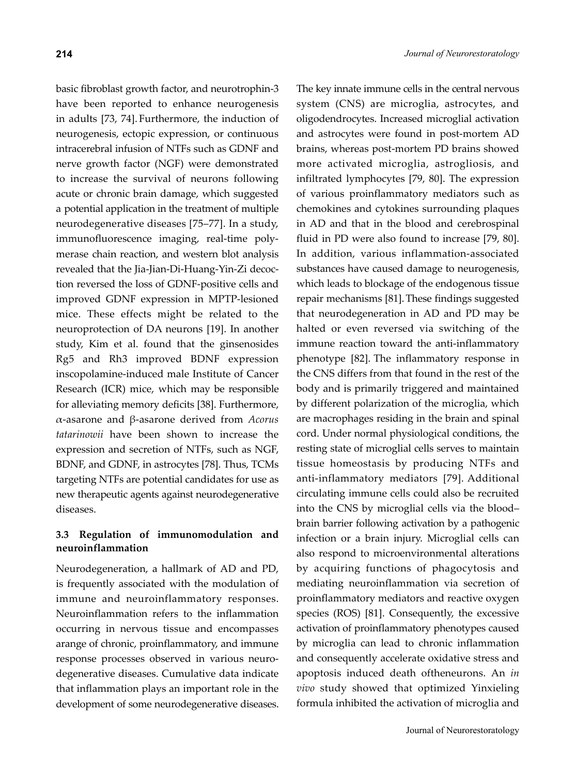basic fibroblast growth factor, and neurotrophin-3 have been reported to enhance neurogenesis in adults [73, 74]. Furthermore, the induction of neurogenesis, ectopic expression, or continuous intracerebral infusion of NTFs such as GDNF and nerve growth factor (NGF) were demonstrated to increase the survival of neurons following acute or chronic brain damage, which suggested a potential application in the treatment of multiple neurodegenerative diseases [75–77]. In a study, immunofluorescence imaging, real-time polymerase chain reaction, and western blot analysis revealed that the Jia-Jian-Di-Huang-Yin-Zi decoction reversed the loss of GDNF-positive cells and improved GDNF expression in MPTP-lesioned mice. These effects might be related to the neuroprotection of DA neurons [19]. In another study, Kim et al. found that the ginsenosides Rg5 and Rh3 improved BDNF expression inscopolamine-induced male Institute of Cancer Research (ICR) mice, which may be responsible for alleviating memory deficits [38]. Furthermore, α-asarone and β-asarone derived from *Acorus tatarinowii* have been shown to increase the expression and secretion of NTFs, such as NGF, BDNF, and GDNF, in astrocytes [78]. Thus, TCMs targeting NTFs are potential candidates for use as new therapeutic agents against neurodegenerative diseases.

# **3.3 Regulation of immunomodulation and neuroinflammation**

Neurodegeneration, a hallmark of AD and PD, is frequently associated with the modulation of immune and neuroinflammatory responses. Neuroinflammation refers to the inflammation occurring in nervous tissue and encompasses arange of chronic, proinflammatory, and immune response processes observed in various neurodegenerative diseases. Cumulative data indicate that inflammation plays an important role in the development of some neurodegenerative diseases.

The key innate immune cells in the central nervous system (CNS) are microglia, astrocytes, and oligodendrocytes. Increased microglial activation and astrocytes were found in post-mortem AD brains, whereas post-mortem PD brains showed more activated microglia, astrogliosis, and infiltrated lymphocytes [79, 80]. The expression of various proinflammatory mediators such as chemokines and cytokines surrounding plaques in AD and that in the blood and cerebrospinal fluid in PD were also found to increase [79, 80]. In addition, various inflammation-associated substances have caused damage to neurogenesis, which leads to blockage of the endogenous tissue repair mechanisms [81].These findings suggested that neurodegeneration in AD and PD may be halted or even reversed via switching of the immune reaction toward the anti-inflammatory phenotype [82]. The inflammatory response in the CNS differs from that found in the rest of the body and is primarily triggered and maintained by different polarization of the microglia, which are macrophages residing in the brain and spinal cord. Under normal physiological conditions, the resting state of microglial cells serves to maintain tissue homeostasis by producing NTFs and anti-inflammatory mediators [79]. Additional circulating immune cells could also be recruited into the CNS by microglial cells via the blood– brain barrier following activation by a pathogenic infection or a brain injury. Microglial cells can also respond to microenvironmental alterations by acquiring functions of phagocytosis and mediating neuroinflammation via secretion of proinflammatory mediators and reactive oxygen species (ROS) [81]. Consequently, the excessive activation of proinflammatory phenotypes caused by microglia can lead to chronic inflammation and consequently accelerate oxidative stress and apoptosis induced death oftheneurons. An *in vivo* study showed that optimized Yinxieling formula inhibited the activation of microglia and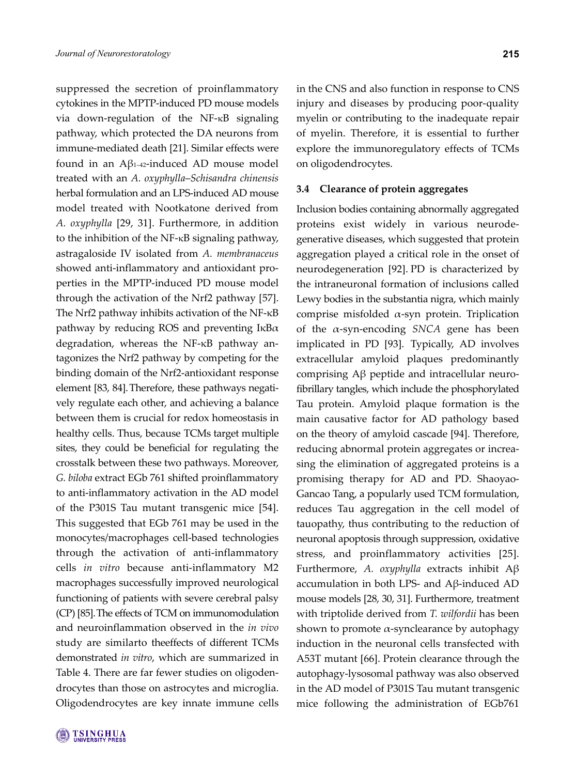suppressed the secretion of proinflammatory cytokines in the MPTP-induced PD mouse models via down-regulation of the NF-κB signaling pathway, which protected the DA neurons from immune-mediated death [21]. Similar effects were found in an Aβ1–42-induced AD mouse model treated with an *A. oxyphylla*–*Schisandra chinensis*  herbal formulation and an LPS-induced AD mouse model treated with Nootkatone derived from *A. oxyphylla* [29, 31]. Furthermore, in addition to the inhibition of the NF-κB signaling pathway, astragaloside IV isolated from *A. membranaceus* showed anti-inflammatory and antioxidant properties in the MPTP-induced PD mouse model through the activation of the Nrf2 pathway [57]. The Nrf2 pathway inhibits activation of the NF-κB pathway by reducing ROS and preventing  $I\kappa B\alpha$ degradation, whereas the NF-κB pathway antagonizes the Nrf2 pathway by competing for the binding domain of the Nrf2-antioxidant response element [83, 84]. Therefore, these pathways negatively regulate each other, and achieving a balance between them is crucial for redox homeostasis in healthy cells. Thus, because TCMs target multiple sites, they could be beneficial for regulating the crosstalk between these two pathways. Moreover, *G. biloba* extract EGb 761 shifted proinflammatory to anti-inflammatory activation in the AD model of the P301S Tau mutant transgenic mice [54]. This suggested that EGb 761 may be used in the monocytes/macrophages cell-based technologies through the activation of anti-inflammatory cells *in vitro* because anti-inflammatory M2 macrophages successfully improved neurological functioning of patients with severe cerebral palsy (CP) [85].The effects of TCM on immunomodulation and neuroinflammation observed in the *in vivo* study are similarto theeffects of different TCMs demonstrated *in vitro*, which are summarized in Table 4. There are far fewer studies on oligodendrocytes than those on astrocytes and microglia. Oligodendrocytes are key innate immune cells

in the CNS and also function in response to CNS injury and diseases by producing poor-quality myelin or contributing to the inadequate repair of myelin. Therefore, it is essential to further explore the immunoregulatory effects of TCMs on oligodendrocytes.

### **3.4 Clearance of protein aggregates**

Inclusion bodies containing abnormally aggregated proteins exist widely in various neurodegenerative diseases, which suggested that protein aggregation played a critical role in the onset of neurodegeneration [92]. PD is characterized by the intraneuronal formation of inclusions called Lewy bodies in the substantia nigra, which mainly comprise misfolded α-syn protein. Triplication of the α-syn-encoding *SNCA* gene has been implicated in PD [93]. Typically, AD involves extracellular amyloid plaques predominantly comprising Aβ peptide and intracellular neurofibrillary tangles, which include the phosphorylated Tau protein. Amyloid plaque formation is the main causative factor for AD pathology based on the theory of amyloid cascade [94]. Therefore, reducing abnormal protein aggregates or increasing the elimination of aggregated proteins is a promising therapy for AD and PD. Shaoyao-Gancao Tang, a popularly used TCM formulation, reduces Tau aggregation in the cell model of tauopathy, thus contributing to the reduction of neuronal apoptosis through suppression, oxidative stress, and proinflammatory activities [25]. Furthermore, *A. oxyphylla* extracts inhibit Aβ accumulation in both LPS- and Aβ-induced AD mouse models [28, 30, 31]. Furthermore, treatment with triptolide derived from *T. wilfordii* has been shown to promote  $\alpha$ -synclearance by autophagy induction in the neuronal cells transfected with A53T mutant [66]. Protein clearance through the autophagy-lysosomal pathway was also observed in the AD model of P301S Tau mutant transgenic mice following the administration of EGb761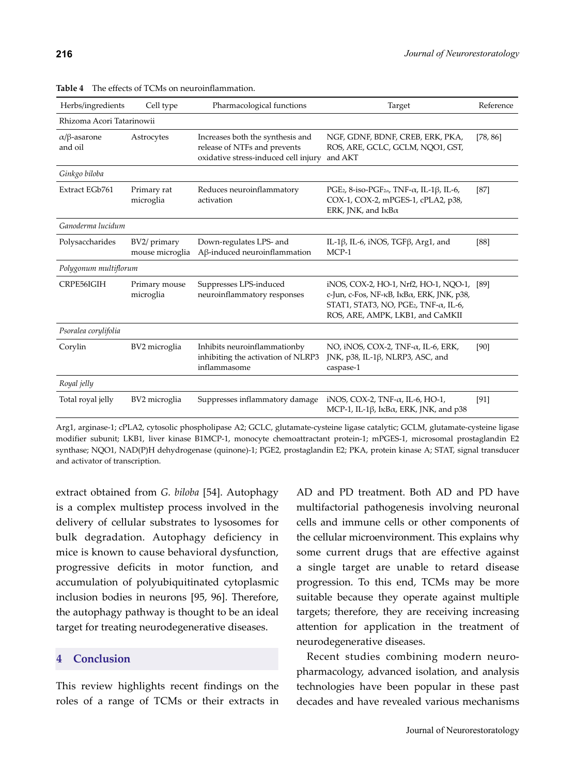| Herbs/ingredients                      | Cell type                       | Pharmacological functions                                                                                | Target                                                                                                                                                                       | Reference |  |  |
|----------------------------------------|---------------------------------|----------------------------------------------------------------------------------------------------------|------------------------------------------------------------------------------------------------------------------------------------------------------------------------------|-----------|--|--|
|                                        | Rhizoma Acori Tatarinowii       |                                                                                                          |                                                                                                                                                                              |           |  |  |
| $\alpha$ / $\beta$ -asarone<br>and oil | Astrocytes                      | Increases both the synthesis and<br>release of NTFs and prevents<br>oxidative stress-induced cell injury | NGF, GDNF, BDNF, CREB, ERK, PKA,<br>ROS, ARE, GCLC, GCLM, NQO1, GST,<br>and AKT                                                                                              | [78, 86]  |  |  |
| Ginkgo biloba                          |                                 |                                                                                                          |                                                                                                                                                                              |           |  |  |
| Extract EGb761                         | Primary rat<br>microglia        | Reduces neuroinflammatory<br>activation                                                                  | PGE <sub>2</sub> , 8-iso-PGF <sub>2<math>\alpha</math></sub> , TNF- $\alpha$ , IL-1 $\beta$ , IL-6,<br>COX-1, COX-2, mPGES-1, cPLA2, p38,<br>ERK, JNK, and $I\kappa B\alpha$ | $[87]$    |  |  |
| Ganoderma lucidum                      |                                 |                                                                                                          |                                                                                                                                                                              |           |  |  |
| Polysaccharides                        | BV2/ primary<br>mouse microglia | Down-regulates LPS- and<br>$A\beta$ -induced neuroinflammation                                           | IL-1 $\beta$ , IL-6, iNOS, TGF $\beta$ , Arg1, and<br>$MCP-1$                                                                                                                | [88]      |  |  |
| Polygonum multiflorum                  |                                 |                                                                                                          |                                                                                                                                                                              |           |  |  |
| CRPE56IGIH                             | Primary mouse<br>microglia      | Suppresses LPS-induced<br>neuroinflammatory responses                                                    | iNOS, COX-2, HO-1, Nrf2, HO-1, NQO-1,<br>c-Jun, c-Fos, NF-κΒ, ΙκΒα, ERK, JNK, p38,<br>STAT1, STAT3, NO, PGE2, TNF- $\alpha$ , IL-6,<br>ROS, ARE, AMPK, LKB1, and CaMKII      | [89]      |  |  |
| Psoralea corylifolia                   |                                 |                                                                                                          |                                                                                                                                                                              |           |  |  |
| Corylin                                | BV2 microglia                   | Inhibits neuroinflammationby<br>inhibiting the activation of NLRP3<br>inflammasome                       | NO, iNOS, COX-2, TNF- $\alpha$ , IL-6, ERK,<br>JNK, p38, IL-1 $\beta$ , NLRP3, ASC, and<br>caspase-1                                                                         | [90]      |  |  |
| Royal jelly                            |                                 |                                                                                                          |                                                                                                                                                                              |           |  |  |
| Total royal jelly                      | BV2 microglia                   | Suppresses inflammatory damage                                                                           | iNOS, COX-2, TNF- $\alpha$ , IL-6, HO-1,<br>MCP-1, IL-1 $\beta$ , I <sub>K</sub> B $\alpha$ , ERK, JNK, and p38                                                              | $[91]$    |  |  |

**Table 4** The effects of TCMs on neuroinflammation.

Arg1, arginase-1; cPLA2, cytosolic phospholipase A2; GCLC, glutamate-cysteine ligase catalytic; GCLM, glutamate-cysteine ligase modifier subunit; LKB1, liver kinase B1MCP-1, monocyte chemoattractant protein-1; mPGES-1, microsomal prostaglandin E2 synthase; NQO1, NAD(P)H dehydrogenase (quinone)-1; PGE2, prostaglandin E2; PKA, protein kinase A; STAT, signal transducer and activator of transcription.

extract obtained from *G. biloba* [54]. Autophagy is a complex multistep process involved in the delivery of cellular substrates to lysosomes for bulk degradation. Autophagy deficiency in mice is known to cause behavioral dysfunction, progressive deficits in motor function, and accumulation of polyubiquitinated cytoplasmic inclusion bodies in neurons [95, 96]. Therefore, the autophagy pathway is thought to be an ideal target for treating neurodegenerative diseases.

# **4 Conclusion**

This review highlights recent findings on the roles of a range of TCMs or their extracts in

AD and PD treatment. Both AD and PD have multifactorial pathogenesis involving neuronal cells and immune cells or other components of the cellular microenvironment. This explains why some current drugs that are effective against a single target are unable to retard disease progression. To this end, TCMs may be more suitable because they operate against multiple targets; therefore, they are receiving increasing attention for application in the treatment of neurodegenerative diseases.

Recent studies combining modern neuropharmacology, advanced isolation, and analysis technologies have been popular in these past decades and have revealed various mechanisms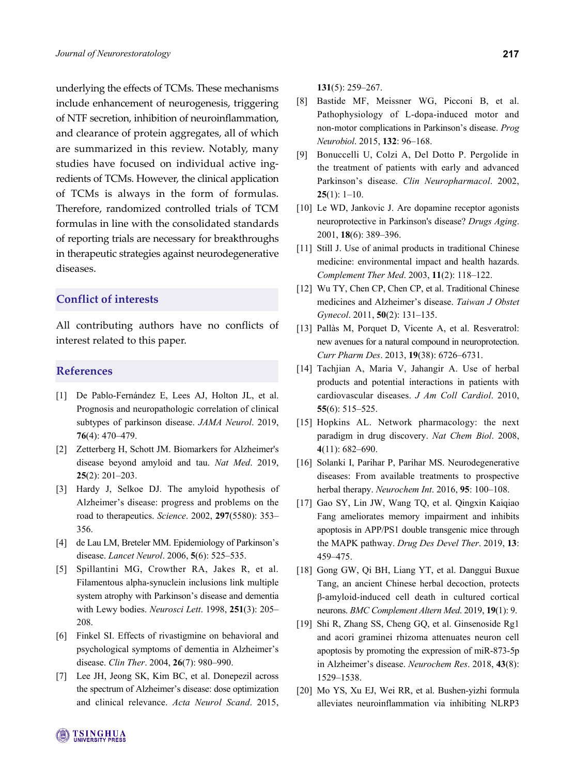underlying the effects of TCMs. These mechanisms include enhancement of neurogenesis, triggering of NTF secretion, inhibition of neuroinflammation, and clearance of protein aggregates, all of which are summarized in this review. Notably, many studies have focused on individual active ingredients of TCMs. However, the clinical application of TCMs is always in the form of formulas. Therefore, randomized controlled trials of TCM formulas in line with the consolidated standards of reporting trials are necessary for breakthroughs in therapeutic strategies against neurodegenerative diseases.

# **Conflict of interests**

All contributing authors have no conflicts of interest related to this paper.

# **References**

- [1] De Pablo-Fernández E, Lees AJ, Holton JL, et al. Prognosis and neuropathologic correlation of clinical subtypes of parkinson disease. *JAMA Neurol*. 2019, **76**(4): 470–479.
- [2] Zetterberg H, Schott JM. Biomarkers for Alzheimer's disease beyond amyloid and tau. *Nat Med*. 2019, **25**(2): 201–203.
- [3] Hardy J, Selkoe DJ. The amyloid hypothesis of Alzheimer's disease: progress and problems on the road to therapeutics. *Science*. 2002, **297**(5580): 353– 356.
- [4] de Lau LM, Breteler MM. Epidemiology of Parkinson's disease. *Lancet Neurol*. 2006, **5**(6): 525–535.
- [5] Spillantini MG, Crowther RA, Jakes R, et al. Filamentous alpha-synuclein inclusions link multiple system atrophy with Parkinson's disease and dementia with Lewy bodies. *Neurosci Lett*. 1998, **251**(3): 205– 208.
- [6] Finkel SI. Effects of rivastigmine on behavioral and psychological symptoms of dementia in Alzheimer's disease. *Clin Ther*. 2004, **26**(7): 980–990.
- [7] Lee JH, Jeong SK, Kim BC, et al. Donepezil across the spectrum of Alzheimer's disease: dose optimization and clinical relevance. *Acta Neurol Scand*. 2015,

**131**(5): 259–267.

- [8] Bastide MF, Meissner WG, Picconi B, et al. Pathophysiology of L-dopa-induced motor and non-motor complications in Parkinson's disease. *Prog Neurobiol*. 2015, **132**: 96–168.
- [9] Bonuccelli U, Colzi A, Del Dotto P. Pergolide in the treatment of patients with early and advanced Parkinson's disease. *Clin Neuropharmacol*. 2002, **25**(1): 1–10.
- [10] Le WD, Jankovic J. Are dopamine receptor agonists neuroprotective in Parkinson's disease? *Drugs Aging*. 2001, **18**(6): 389–396.
- [11] Still J. Use of animal products in traditional Chinese medicine: environmental impact and health hazards. *Complement Ther Med*. 2003, **11**(2): 118–122.
- [12] Wu TY, Chen CP, Chen CP, et al. Traditional Chinese medicines and Alzheimer's disease. *Taiwan J Obstet Gynecol*. 2011, **50**(2): 131–135.
- [13] Pallàs M, Porquet D, Vicente A, et al. Resveratrol: new avenues for a natural compound in neuroprotection. *Curr Pharm Des*. 2013, **19**(38): 6726–6731.
- [14] Tachjian A, Maria V, Jahangir A. Use of herbal products and potential interactions in patients with cardiovascular diseases. *J Am Coll Cardiol*. 2010, **55**(6): 515–525.
- [15] Hopkins AL. Network pharmacology: the next paradigm in drug discovery. *Nat Chem Biol*. 2008, **4**(11): 682–690.
- [16] Solanki I, Parihar P, Parihar MS. Neurodegenerative diseases: From available treatments to prospective herbal therapy. *Neurochem Int*. 2016, **95**: 100–108.
- [17] Gao SY, Lin JW, Wang TQ, et al. Qingxin Kaiqiao Fang ameliorates memory impairment and inhibits apoptosis in APP/PS1 double transgenic mice through the MAPK pathway. *Drug Des Devel Ther*. 2019, **13**: 459–475.
- [18] Gong GW, Qi BH, Liang YT, et al. Danggui Buxue Tang, an ancient Chinese herbal decoction, protects β-amyloid-induced cell death in cultured cortical neurons. *BMC Complement Altern Med*. 2019, **19**(1): 9.
- [19] Shi R, Zhang SS, Cheng GQ, et al. Ginsenoside Rg1 and acori graminei rhizoma attenuates neuron cell apoptosis by promoting the expression of miR-873-5p in Alzheimer's disease. *Neurochem Res*. 2018, **43**(8): 1529–1538.
- [20] Mo YS, Xu EJ, Wei RR, et al. Bushen-yizhi formula alleviates neuroinflammation via inhibiting NLRP3

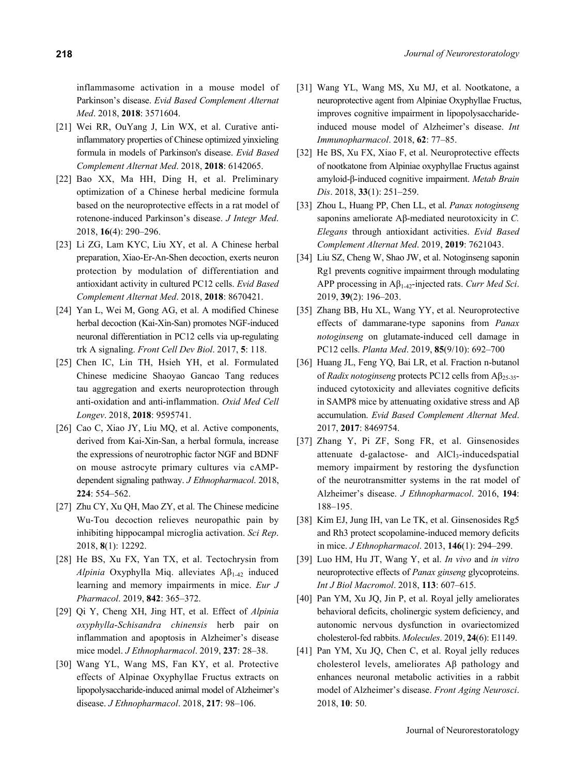inflammasome activation in a mouse model of Parkinson's disease. *Evid Based Complement Alternat Med*. 2018, **2018**: 3571604.

- [21] Wei RR, OuYang J, Lin WX, et al. Curative antiinflammatory properties of Chinese optimized yinxieling formula in models of Parkinson's disease. *Evid Based Complement Alternat Med*. 2018, **2018**: 6142065.
- [22] Bao XX, Ma HH, Ding H, et al. Preliminary optimization of a Chinese herbal medicine formula based on the neuroprotective effects in a rat model of rotenone-induced Parkinson's disease. *J Integr Med*. 2018, **16**(4): 290–296.
- [23] Li ZG, Lam KYC, Liu XY, et al. A Chinese herbal preparation, Xiao-Er-An-Shen decoction, exerts neuron protection by modulation of differentiation and antioxidant activity in cultured PC12 cells. *Evid Based Complement Alternat Med*. 2018, **2018**: 8670421.
- [24] Yan L, Wei M, Gong AG, et al. A modified Chinese herbal decoction (Kai-Xin-San) promotes NGF-induced neuronal differentiation in PC12 cells via up-regulating trk A signaling. *Front Cell Dev Biol*. 2017, **5**: 118.
- [25] Chen IC, Lin TH, Hsieh YH, et al. Formulated Chinese medicine Shaoyao Gancao Tang reduces tau aggregation and exerts neuroprotection through anti-oxidation and anti-inflammation. *Oxid Med Cell Longev*. 2018, **2018**: 9595741.
- [26] Cao C, Xiao JY, Liu MQ, et al. Active components, derived from Kai-Xin-San, a herbal formula, increase the expressions of neurotrophic factor NGF and BDNF on mouse astrocyte primary cultures via cAMPdependent signaling pathway. *J Ethnopharmacol*. 2018, **224**: 554–562.
- [27] Zhu CY, Xu QH, Mao ZY, et al. The Chinese medicine Wu-Tou decoction relieves neuropathic pain by inhibiting hippocampal microglia activation. *Sci Rep*. 2018, **8**(1): 12292.
- [28] He BS, Xu FX, Yan TX, et al. Tectochrysin from *Alpinia* Oxyphylla Miq. alleviates Aβ<sub>1-42</sub> induced learning and memory impairments in mice. *Eur J Pharmacol*. 2019, **842**: 365–372.
- [29] Qi Y, Cheng XH, Jing HT, et al. Effect of *Alpinia oxyphylla*-*Schisandra chinensis* herb pair on inflammation and apoptosis in Alzheimer's disease mice model. *J Ethnopharmacol*. 2019, **237**: 28–38.
- [30] Wang YL, Wang MS, Fan KY, et al. Protective effects of Alpinae Oxyphyllae Fructus extracts on lipopolysaccharide-induced animal model of Alzheimer's disease. *J Ethnopharmacol*. 2018, **217**: 98–106.
- [31] Wang YL, Wang MS, Xu MJ, et al. Nootkatone, a neuroprotective agent from Alpiniae Oxyphyllae Fructus, improves cognitive impairment in lipopolysaccharideinduced mouse model of Alzheimer's disease. *Int Immunopharmacol*. 2018, **62**: 77–85.
- [32] He BS, Xu FX, Xiao F, et al. Neuroprotective effects of nootkatone from Alpiniae oxyphyllae Fructus against amyloid-β-induced cognitive impairment. *Metab Brain Dis*. 2018, **33**(1): 251–259.
- [33] Zhou L, Huang PP, Chen LL, et al. *Panax notoginseng* saponins ameliorate Aβ-mediated neurotoxicity in *C. Elegans* through antioxidant activities. *Evid Based Complement Alternat Med*. 2019, **2019**: 7621043.
- [34] Liu SZ, Cheng W, Shao JW, et al. Notoginseng saponin Rg1 prevents cognitive impairment through modulating APP processing in Aβ1-42-injected rats. *Curr Med Sci*. 2019, **39**(2): 196–203.
- [35] Zhang BB, Hu XL, Wang YY, et al. Neuroprotective effects of dammarane-type saponins from *Panax notoginseng* on glutamate-induced cell damage in PC12 cells. *Planta Med*. 2019, **85**(9/10): 692–700
- [36] Huang JL, Feng YQ, Bai LR, et al. Fraction n-butanol of *Radix notoginseng* protects PC12 cells from Aβ25-35 induced cytotoxicity and alleviates cognitive deficits in SAMP8 mice by attenuating oxidative stress and Aβ accumulation. *Evid Based Complement Alternat Med*. 2017, **2017**: 8469754.
- [37] Zhang Y, Pi ZF, Song FR, et al. Ginsenosides attenuate d-galactose- and AlCl<sub>3</sub>-inducedspatial memory impairment by restoring the dysfunction of the neurotransmitter systems in the rat model of Alzheimer's disease. *J Ethnopharmacol*. 2016, **194**: 188–195.
- [38] Kim EJ, Jung IH, van Le TK, et al. Ginsenosides Rg5 and Rh3 protect scopolamine-induced memory deficits in mice. *J Ethnopharmacol*. 2013, **146**(1): 294–299.
- [39] Luo HM, Hu JT, Wang Y, et al. *In vivo* and *in vitro* neuroprotective effects of *Panax ginseng* glycoproteins. *Int J Biol Macromol*. 2018, **113**: 607–615.
- [40] Pan YM, Xu JQ, Jin P, et al. Royal jelly ameliorates behavioral deficits, cholinergic system deficiency, and autonomic nervous dysfunction in ovariectomized cholesterol-fed rabbits. *Molecules*. 2019, **24**(6): E1149.
- [41] Pan YM, Xu JQ, Chen C, et al. Royal jelly reduces cholesterol levels, ameliorates Aβ pathology and enhances neuronal metabolic activities in a rabbit model of Alzheimer's disease. *Front Aging Neurosci*. 2018, **10**: 50.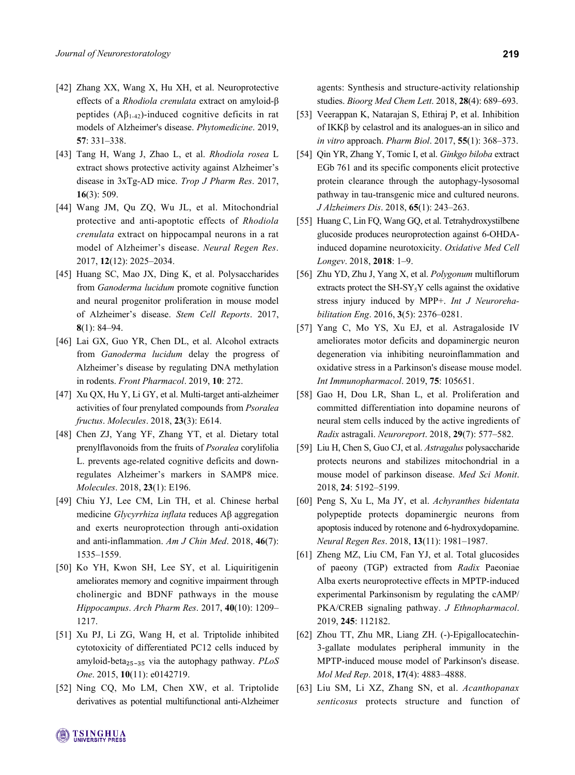- [42] Zhang XX, Wang X, Hu XH, et al. Neuroprotective effects of a *Rhodiola crenulata* extract on amyloid-β peptides  $(A\beta_{1-42})$ -induced cognitive deficits in rat models of Alzheimer's disease. *Phytomedicine*. 2019, **57**: 331–338.
- [43] Tang H, Wang J, Zhao L, et al. *Rhodiola rosea* L extract shows protective activity against Alzheimer's disease in 3xTg-AD mice. *Trop J Pharm Res*. 2017, **16**(3): 509.
- [44] Wang JM, Qu ZQ, Wu JL, et al. Mitochondrial protective and anti-apoptotic effects of *Rhodiola crenulata* extract on hippocampal neurons in a rat model of Alzheimer's disease. *Neural Regen Res*. 2017, **12**(12): 2025–2034.
- [45] Huang SC, Mao JX, Ding K, et al. Polysaccharides from *Ganoderma lucidum* promote cognitive function and neural progenitor proliferation in mouse model of Alzheimer's disease. *Stem Cell Reports*. 2017, **8**(1): 84–94.
- [46] Lai GX, Guo YR, Chen DL, et al. Alcohol extracts from *Ganoderma lucidum* delay the progress of Alzheimer's disease by regulating DNA methylation in rodents. *Front Pharmacol*. 2019, **10**: 272.
- [47] Xu QX, Hu Y, Li GY, et al. Multi-target anti-alzheimer activities of four prenylated compounds from *Psoralea fructus*. *Molecules*. 2018, **23**(3): E614.
- [48] Chen ZJ, Yang YF, Zhang YT, et al. Dietary total prenylflavonoids from the fruits of *Psoralea* corylifolia L. prevents age-related cognitive deficits and downregulates Alzheimer's markers in SAMP8 mice. *Molecules*. 2018, **23**(1): E196.
- [49] Chiu YJ, Lee CM, Lin TH, et al. Chinese herbal medicine *Glycyrrhiza inflata* reduces Aβ aggregation and exerts neuroprotection through anti-oxidation and anti-inflammation. *Am J Chin Med*. 2018, **46**(7): 1535–1559.
- [50] Ko YH, Kwon SH, Lee SY, et al. Liquiritigenin ameliorates memory and cognitive impairment through cholinergic and BDNF pathways in the mouse *Hippocampus*. *Arch Pharm Res*. 2017, **40**(10): 1209– 1217.
- [51] Xu PJ, Li ZG, Wang H, et al. Triptolide inhibited cytotoxicity of differentiated PC12 cells induced by amyloid-beta<sub>25-35</sub> via the autophagy pathway. *PLoS One*. 2015, **10**(11): e0142719.
- [52] Ning CQ, Mo LM, Chen XW, et al. Triptolide derivatives as potential multifunctional anti-Alzheimer

agents: Synthesis and structure-activity relationship studies. *Bioorg Med Chem Lett*. 2018, **28**(4): 689–693.

- [53] Veerappan K, Natarajan S, Ethiraj P, et al. Inhibition of IKKβ by celastrol and its analogues-an in silico and *in vitro* approach. *Pharm Biol*. 2017, **55**(1): 368–373.
- [54] Qin YR, Zhang Y, Tomic I, et al. *Ginkgo biloba* extract EGb 761 and its specific components elicit protective protein clearance through the autophagy-lysosomal pathway in tau-transgenic mice and cultured neurons. *J Alzheimers Dis*. 2018, **65**(1): 243–263.
- [55] Huang C, Lin FQ, Wang GQ, et al. Tetrahydroxystilbene glucoside produces neuroprotection against 6-OHDAinduced dopamine neurotoxicity. *Oxidative Med Cell Longev*. 2018, **2018**: 1–9.
- [56] Zhu YD, Zhu J, Yang X, et al. *Polygonum* multiflorum extracts protect the  $SH-SY<sub>5</sub>Y$  cells against the oxidative stress injury induced by MPP+. *Int J Neurorehabilitation Eng*. 2016, **3**(5): 2376–0281.
- [57] Yang C, Mo YS, Xu EJ, et al. Astragaloside IV ameliorates motor deficits and dopaminergic neuron degeneration via inhibiting neuroinflammation and oxidative stress in a Parkinson's disease mouse model. *Int Immunopharmacol*. 2019, **75**: 105651.
- [58] Gao H, Dou LR, Shan L, et al. Proliferation and committed differentiation into dopamine neurons of neural stem cells induced by the active ingredients of *Radix* astragali. *Neuroreport*. 2018, **29**(7): 577–582.
- [59] Liu H, Chen S, Guo CJ, et al. *Astragalus* polysaccharide protects neurons and stabilizes mitochondrial in a mouse model of parkinson disease. *Med Sci Monit*. 2018, **24**: 5192–5199.
- [60] Peng S, Xu L, Ma JY, et al. *Achyranthes bidentata* polypeptide protects dopaminergic neurons from apoptosis induced by rotenone and 6-hydroxydopamine. *Neural Regen Res*. 2018, **13**(11): 1981–1987.
- [61] Zheng MZ, Liu CM, Fan YJ, et al. Total glucosides of paeony (TGP) extracted from *Radix* Paeoniae Alba exerts neuroprotective effects in MPTP-induced experimental Parkinsonism by regulating the cAMP/ PKA/CREB signaling pathway. *J Ethnopharmacol*. 2019, **245**: 112182.
- [62] Zhou TT, Zhu MR, Liang ZH. (-)-Epigallocatechin-3-gallate modulates peripheral immunity in the MPTP-induced mouse model of Parkinson's disease. *Mol Med Rep*. 2018, **17**(4): 4883–4888.
- [63] Liu SM, Li XZ, Zhang SN, et al. *Acanthopanax senticosus* protects structure and function of

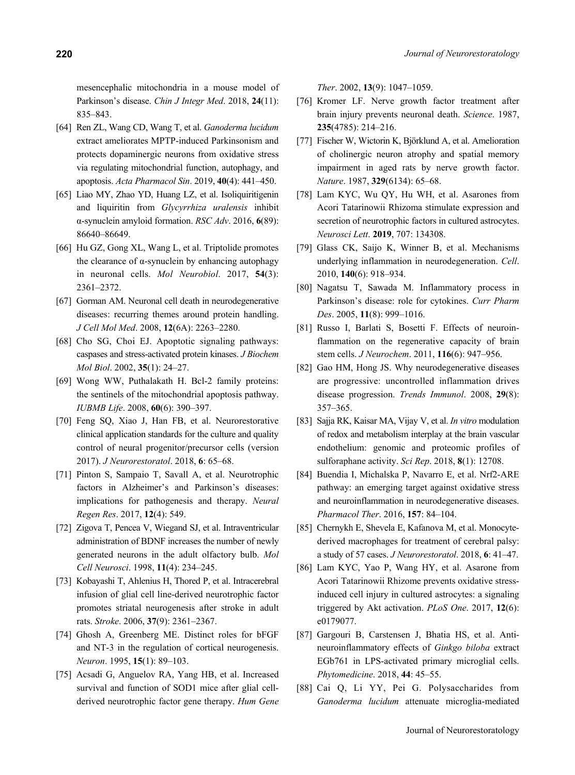mesencephalic mitochondria in a mouse model of Parkinson's disease. *Chin J Integr Med*. 2018, **24**(11): 835–843.

- [64] Ren ZL, Wang CD, Wang T, et al. *Ganoderma lucidum* extract ameliorates MPTP-induced Parkinsonism and protects dopaminergic neurons from oxidative stress via regulating mitochondrial function, autophagy, and apoptosis. *Acta Pharmacol Sin*. 2019, **40**(4): 441–450.
- [65] Liao MY, Zhao YD, Huang LZ, et al. Isoliquiritigenin and liquiritin from *Glycyrrhiza uralensis* inhibit α-synuclein amyloid formation. *RSC Adv*. 2016, **6**(89): 86640–86649.
- [66] Hu GZ, Gong XL, Wang L, et al. Triptolide promotes the clearance of α-synuclein by enhancing autophagy in neuronal cells. *Mol Neurobiol*. 2017, **54**(3): 2361–2372.
- [67] Gorman AM. Neuronal cell death in neurodegenerative diseases: recurring themes around protein handling. *J Cell Mol Med*. 2008, **12**(6A): 2263–2280.
- [68] Cho SG, Choi EJ. Apoptotic signaling pathways: caspases and stress-activated protein kinases. *J Biochem Mol Biol*. 2002, **35**(1): 24–27.
- [69] Wong WW, Puthalakath H. Bcl-2 family proteins: the sentinels of the mitochondrial apoptosis pathway. *IUBMB Life*. 2008, **60**(6): 390–397.
- [70] Feng SQ, Xiao J, Han FB, et al. Neurorestorative clinical application standards for the culture and quality control of neural progenitor/precursor cells (version 2017). *J Neurorestoratol*. 2018, **6**: 65–68.
- [71] Pinton S, Sampaio T, Savall A, et al. Neurotrophic factors in Alzheimer's and Parkinson's diseases: implications for pathogenesis and therapy. *Neural Regen Res*. 2017, **12**(4): 549.
- [72] Zigova T, Pencea V, Wiegand SJ, et al. Intraventricular administration of BDNF increases the number of newly generated neurons in the adult olfactory bulb. *Mol Cell Neurosci*. 1998, **11**(4): 234–245.
- [73] Kobayashi T, Ahlenius H, Thored P, et al. Intracerebral infusion of glial cell line-derived neurotrophic factor promotes striatal neurogenesis after stroke in adult rats. *Stroke*. 2006, **37**(9): 2361–2367.
- [74] Ghosh A, Greenberg ME. Distinct roles for bFGF and NT-3 in the regulation of cortical neurogenesis. *Neuron*. 1995, **15**(1): 89–103.
- [75] Acsadi G, Anguelov RA, Yang HB, et al. Increased survival and function of SOD1 mice after glial cellderived neurotrophic factor gene therapy. *Hum Gene*

*Ther*. 2002, **13**(9): 1047–1059.

- [76] Kromer LF. Nerve growth factor treatment after brain injury prevents neuronal death. *Science*. 1987, **235**(4785): 214–216.
- [77] Fischer W, Wictorin K, Björklund A, et al. Amelioration of cholinergic neuron atrophy and spatial memory impairment in aged rats by nerve growth factor. *Nature*. 1987, **329**(6134): 65–68.
- [78] Lam KYC, Wu QY, Hu WH, et al. Asarones from Acori Tatarinowii Rhizoma stimulate expression and secretion of neurotrophic factors in cultured astrocytes. *Neurosci Lett*. **2019**, 707: 134308.
- [79] Glass CK, Saijo K, Winner B, et al. Mechanisms underlying inflammation in neurodegeneration. *Cell*. 2010, **140**(6): 918–934.
- [80] Nagatsu T, Sawada M. Inflammatory process in Parkinson's disease: role for cytokines. *Curr Pharm Des*. 2005, **11**(8): 999–1016.
- [81] Russo I, Barlati S, Bosetti F. Effects of neuroinflammation on the regenerative capacity of brain stem cells. *J Neurochem*. 2011, **116**(6): 947–956.
- [82] Gao HM, Hong JS. Why neurodegenerative diseases are progressive: uncontrolled inflammation drives disease progression. *Trends Immunol*. 2008, **29**(8): 357–365.
- [83] Sajja RK, Kaisar MA, Vijay V, et al. *In vitro* modulation of redox and metabolism interplay at the brain vascular endothelium: genomic and proteomic profiles of sulforaphane activity. *Sci Rep*. 2018, **8**(1): 12708.
- [84] Buendia I, Michalska P, Navarro E, et al. Nrf2-ARE pathway: an emerging target against oxidative stress and neuroinflammation in neurodegenerative diseases. *Pharmacol Ther*. 2016, **157**: 84–104.
- [85] Chernykh E, Shevela E, Kafanova M, et al. Monocytederived macrophages for treatment of cerebral palsy: a study of 57 cases. *J Neurorestoratol*. 2018, **6**: 41–47.
- [86] Lam KYC, Yao P, Wang HY, et al. Asarone from Acori Tatarinowii Rhizome prevents oxidative stressinduced cell injury in cultured astrocytes: a signaling triggered by Akt activation. *PLoS One*. 2017, **12**(6): e0179077.
- [87] Gargouri B, Carstensen J, Bhatia HS, et al. Antineuroinflammatory effects of *Ginkgo biloba* extract EGb761 in LPS-activated primary microglial cells. *Phytomedicine*. 2018, **44**: 45–55.
- [88] Cai Q, Li YY, Pei G. Polysaccharides from *Ganoderma lucidum* attenuate microglia-mediated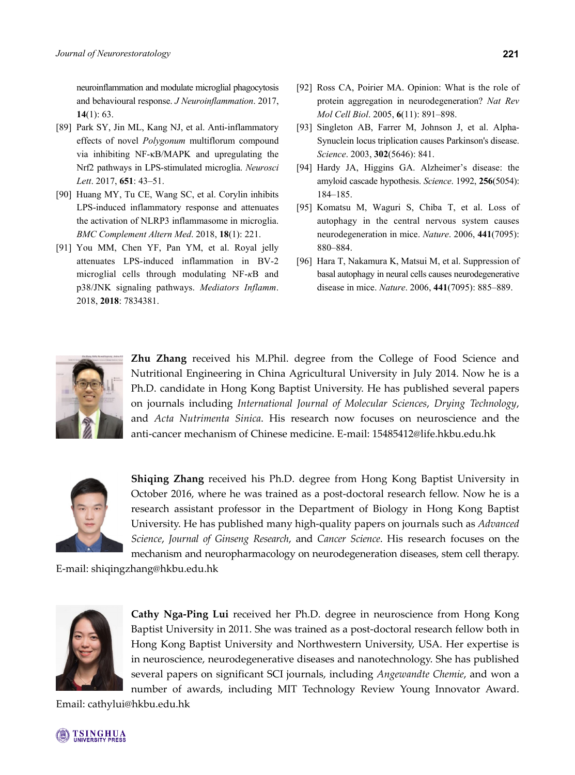neuroinflammation and modulate microglial phagocytosis and behavioural response. *J Neuroinflammation*. 2017, **14**(1): 63.

- [89] Park SY, Jin ML, Kang NJ, et al. Anti-inflammatory effects of novel *Polygonum* multiflorum compound via inhibiting NF-κB/MAPK and upregulating the Nrf2 pathways in LPS-stimulated microglia. *Neurosci Lett*. 2017, **651**: 43–51.
- [90] Huang MY, Tu CE, Wang SC, et al. Corylin inhibits LPS-induced inflammatory response and attenuates the activation of NLRP3 inflammasome in microglia. *BMC Complement Altern Med*. 2018, **18**(1): 221.
- [91] You MM, Chen YF, Pan YM, et al. Royal jelly attenuates LPS-induced inflammation in BV-2 microglial cells through modulating NF-*κ*B and p38/JNK signaling pathways. *Mediators Inflamm*. 2018, **2018**: 7834381.
- [92] Ross CA, Poirier MA. Opinion: What is the role of protein aggregation in neurodegeneration? *Nat Rev Mol Cell Biol*. 2005, **6**(11): 891–898.
- [93] Singleton AB, Farrer M, Johnson J, et al. Alpha-Synuclein locus triplication causes Parkinson's disease. *Science*. 2003, **302**(5646): 841.
- [94] Hardy JA, Higgins GA. Alzheimer's disease: the amyloid cascade hypothesis. *Science*. 1992, **256**(5054): 184–185.
- [95] Komatsu M, Waguri S, Chiba T, et al. Loss of autophagy in the central nervous system causes neurodegeneration in mice. *Nature*. 2006, **441**(7095): 880–884.
- [96] Hara T, Nakamura K, Matsui M, et al. Suppression of basal autophagy in neural cells causes neurodegenerative disease in mice. *Nature*. 2006, **441**(7095): 885–889.



**Zhu Zhang** received his M.Phil. degree from the College of Food Science and Nutritional Engineering in China Agricultural University in July 2014. Now he is a Ph.D. candidate in Hong Kong Baptist University. He has published several papers on journals including *International Journal of Molecular Sciences*, *Drying Technology*, and *Acta Nutrimenta Sinica*. His research now focuses on neuroscience and the anti-cancer mechanism of Chinese medicine. E-mail: 15485412@life.hkbu.edu.hk



**Shiqing Zhang** received his Ph.D. degree from Hong Kong Baptist University in October 2016, where he was trained as a post-doctoral research fellow. Now he is a research assistant professor in the Department of Biology in Hong Kong Baptist University. He has published many high-quality papers on journals such as *Advanced Science*, *Journal of Ginseng Research*, and *Cancer Science*. His research focuses on the mechanism and neuropharmacology on neurodegeneration diseases, stem cell therapy.

E-mail: shiqingzhang@hkbu.edu.hk



**Cathy Nga-Ping Lui** received her Ph.D. degree in neuroscience from Hong Kong Baptist University in 2011. She was trained as a post-doctoral research fellow both in Hong Kong Baptist University and Northwestern University, USA. Her expertise is in neuroscience, neurodegenerative diseases and nanotechnology. She has published several papers on significant SCI journals, including *Angewandte Chemie*, and won a number of awards, including MIT Technology Review Young Innovator Award.

Email: cathylui@hkbu.edu.hk